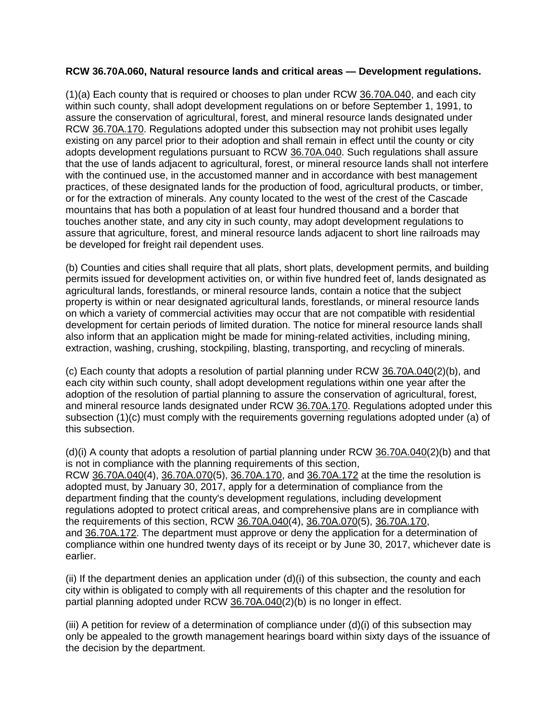## **RCW 36.70A.060, Natural resource lands and critical areas — Development regulations.**

(1)(a) Each county that is required or chooses to plan under RCW [36.70A.040,](http://app.leg.wa.gov/RCW/default.aspx?cite=36.70A.040) and each city within such county, shall adopt development regulations on or before September 1, 1991, to assure the conservation of agricultural, forest, and mineral resource lands designated under RCW [36.70A.170.](http://app.leg.wa.gov/RCW/default.aspx?cite=36.70A.170) Regulations adopted under this subsection may not prohibit uses legally existing on any parcel prior to their adoption and shall remain in effect until the county or city adopts development regulations pursuant to RCW [36.70A.040.](http://app.leg.wa.gov/RCW/default.aspx?cite=36.70A.040) Such regulations shall assure that the use of lands adjacent to agricultural, forest, or mineral resource lands shall not interfere with the continued use, in the accustomed manner and in accordance with best management practices, of these designated lands for the production of food, agricultural products, or timber, or for the extraction of minerals. Any county located to the west of the crest of the Cascade mountains that has both a population of at least four hundred thousand and a border that touches another state, and any city in such county, may adopt development regulations to assure that agriculture, forest, and mineral resource lands adjacent to short line railroads may be developed for freight rail dependent uses.

(b) Counties and cities shall require that all plats, short plats, development permits, and building permits issued for development activities on, or within five hundred feet of, lands designated as agricultural lands, forestlands, or mineral resource lands, contain a notice that the subject property is within or near designated agricultural lands, forestlands, or mineral resource lands on which a variety of commercial activities may occur that are not compatible with residential development for certain periods of limited duration. The notice for mineral resource lands shall also inform that an application might be made for mining-related activities, including mining, extraction, washing, crushing, stockpiling, blasting, transporting, and recycling of minerals.

(c) Each county that adopts a resolution of partial planning under RCW [36.70A.040\(](http://app.leg.wa.gov/RCW/default.aspx?cite=36.70A.040)2)(b), and each city within such county, shall adopt development regulations within one year after the adoption of the resolution of partial planning to assure the conservation of agricultural, forest, and mineral resource lands designated under RCW [36.70A.170.](http://app.leg.wa.gov/RCW/default.aspx?cite=36.70A.170) Regulations adopted under this subsection (1)(c) must comply with the requirements governing regulations adopted under (a) of this subsection.

(d)(i) A county that adopts a resolution of partial planning under RCW [36.70A.040\(](http://app.leg.wa.gov/RCW/default.aspx?cite=36.70A.040)2)(b) and that is not in compliance with the planning requirements of this section, RCW [36.70A.040\(](http://app.leg.wa.gov/RCW/default.aspx?cite=36.70A.040)4), [36.70A.070\(](http://app.leg.wa.gov/RCW/default.aspx?cite=36.70A.070)5), [36.70A.170,](http://app.leg.wa.gov/RCW/default.aspx?cite=36.70A.170) and [36.70A.172](http://app.leg.wa.gov/RCW/default.aspx?cite=36.70A.172) at the time the resolution is adopted must, by January 30, 2017, apply for a determination of compliance from the department finding that the county's development regulations, including development regulations adopted to protect critical areas, and comprehensive plans are in compliance with the requirements of this section, RCW [36.70A.040\(](http://app.leg.wa.gov/RCW/default.aspx?cite=36.70A.040)4), [36.70A.070\(](http://app.leg.wa.gov/RCW/default.aspx?cite=36.70A.070)5), [36.70A.170,](http://app.leg.wa.gov/RCW/default.aspx?cite=36.70A.170) and [36.70A.172.](http://app.leg.wa.gov/RCW/default.aspx?cite=36.70A.172) The department must approve or deny the application for a determination of compliance within one hundred twenty days of its receipt or by June 30, 2017, whichever date is earlier.

(ii) If the department denies an application under (d)(i) of this subsection, the county and each city within is obligated to comply with all requirements of this chapter and the resolution for partial planning adopted under RCW [36.70A.040\(](http://app.leg.wa.gov/RCW/default.aspx?cite=36.70A.040)2)(b) is no longer in effect.

(iii) A petition for review of a determination of compliance under (d)(i) of this subsection may only be appealed to the growth management hearings board within sixty days of the issuance of the decision by the department.